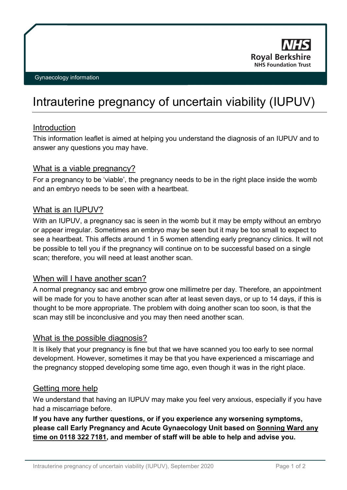

# Intrauterine pregnancy of uncertain viability (IUPUV)

### Introduction

This information leaflet is aimed at helping you understand the diagnosis of an IUPUV and to answer any questions you may have.

#### What is a viable pregnancy?

For a pregnancy to be 'viable', the pregnancy needs to be in the right place inside the womb and an embryo needs to be seen with a heartbeat.

#### What is an IUPUV?

With an IUPUV, a pregnancy sac is seen in the womb but it may be empty without an embryo or appear irregular. Sometimes an embryo may be seen but it may be too small to expect to see a heartbeat. This affects around 1 in 5 women attending early pregnancy clinics. It will not be possible to tell you if the pregnancy will continue on to be successful based on a single scan; therefore, you will need at least another scan.

### When will I have another scan?

A normal pregnancy sac and embryo grow one millimetre per day. Therefore, an appointment will be made for you to have another scan after at least seven days, or up to 14 days, if this is thought to be more appropriate. The problem with doing another scan too soon, is that the scan may still be inconclusive and you may then need another scan.

### What is the possible diagnosis?

It is likely that your pregnancy is fine but that we have scanned you too early to see normal development. However, sometimes it may be that you have experienced a miscarriage and the pregnancy stopped developing some time ago, even though it was in the right place.

#### Getting more help

We understand that having an IUPUV may make you feel very anxious, especially if you have had a miscarriage before.

# **If you have any further questions, or if you experience any worsening symptoms, please call Early Pregnancy and Acute Gynaecology Unit based on Sonning Ward any time on 0118 322 7181, and member of staff will be able to help and advise you.**